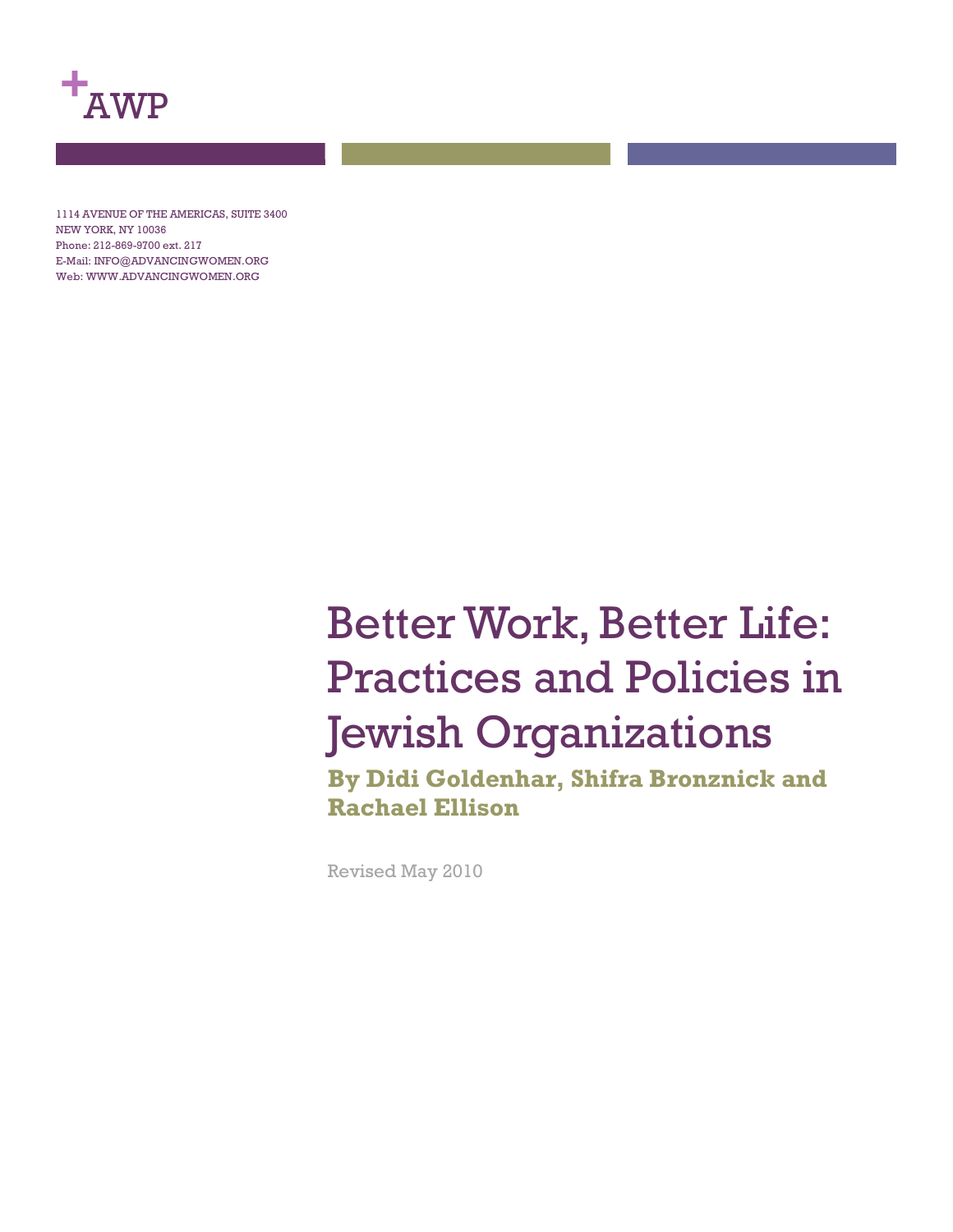

1114 AVENUE OF THE AMERICAS, SUITE 3400 NEW YORK, NY 10036 Phone: 212-869-9700 ext. 217 E-Mail: INFO@ADVANCINGWOMEN.ORG Web: WWW.ADVANCINGWOMEN.ORG

# Better Work, Better Life: Practices and Policies in Jewish Organizations

**By Didi Goldenhar, Shifra Bronznick and Rachael Ellison**

Revised May 2010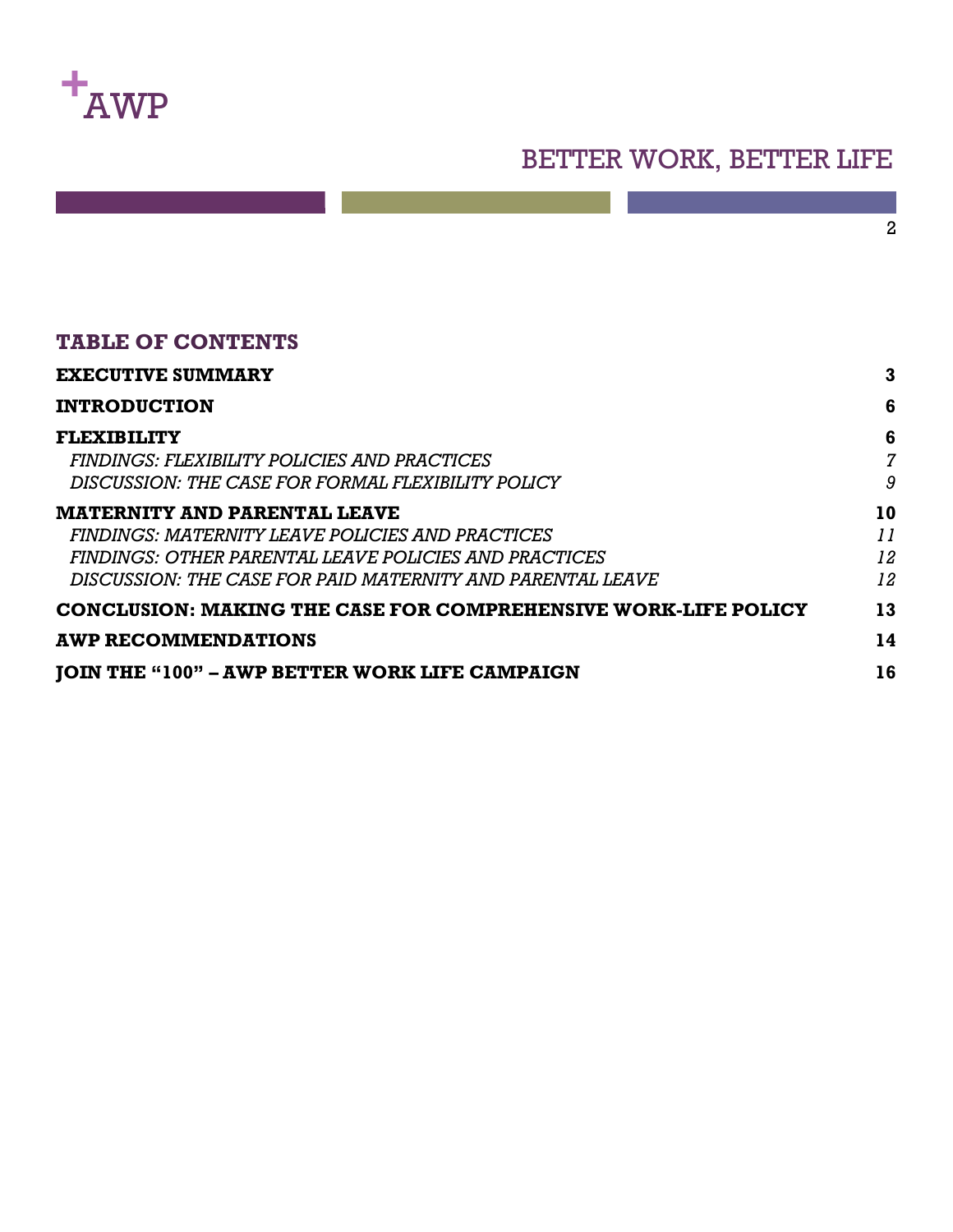

#### **TABLE OF CONTENTS**

| <b>EXECUTIVE SUMMARY</b>                                              | 3              |
|-----------------------------------------------------------------------|----------------|
| <b>INTRODUCTION</b>                                                   | 6              |
| <b>FLEXIBILITY</b>                                                    | 6              |
| FINDINGS: FLEXIBILITY POLICIES AND PRACTICES                          | $\overline{7}$ |
| DISCUSSION: THE CASE FOR FORMAL FLEXIBILITY POLICY                    | 9              |
| <b>MATERNITY AND PARENTAL LEAVE</b>                                   | 10             |
| FINDINGS: MATERNITY LEAVE POLICIES AND PRACTICES                      | 11             |
| FINDINGS: OTHER PARENTAL LEAVE POLICIES AND PRACTICES                 | 12             |
| DISCUSSION: THE CASE FOR PAID MATERNITY AND PARENTAL LEAVE            | 12             |
| <b>CONCLUSION: MAKING THE CASE FOR COMPREHENSIVE WORK-LIFE POLICY</b> | 13             |
| <b>AWP RECOMMENDATIONS</b>                                            | 14             |
| <b>JOIN THE "100" - AWP BETTER WORK LIFE CAMPAIGN</b>                 | 16             |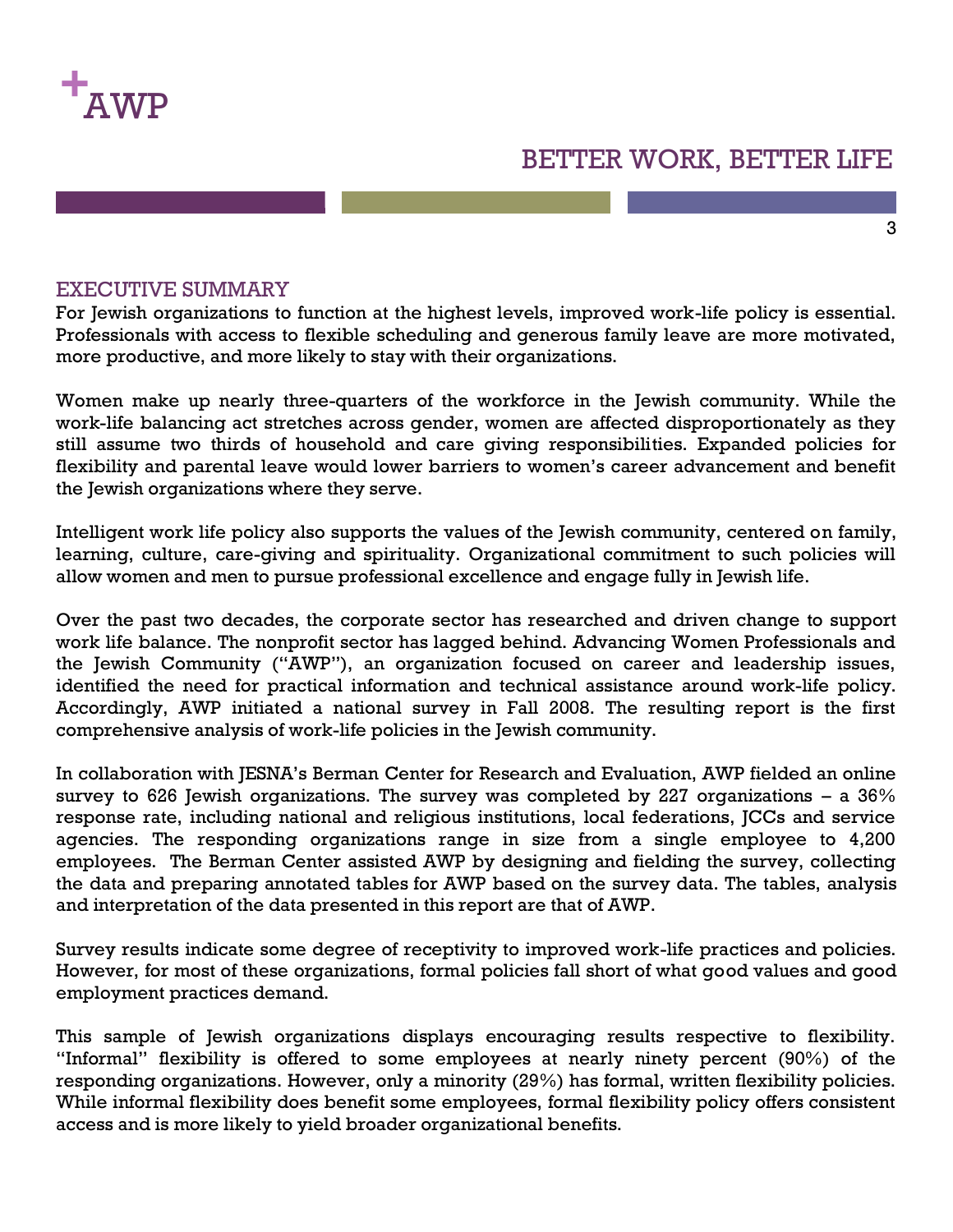

#### 3

#### EXECUTIVE SUMMARY

For Jewish organizations to function at the highest levels, improved work-life policy is essential. Professionals with access to flexible scheduling and generous family leave are more motivated, more productive, and more likely to stay with their organizations.

Women make up nearly three-quarters of the workforce in the Jewish community. While the work-life balancing act stretches across gender, women are affected disproportionately as they still assume two thirds of household and care giving responsibilities. Expanded policies for flexibility and parental leave would lower barriers to women's career advancement and benefit the Jewish organizations where they serve.

Intelligent work life policy also supports the values of the Jewish community, centered on family, learning, culture, care-giving and spirituality. Organizational commitment to such policies will allow women and men to pursue professional excellence and engage fully in Jewish life.

Over the past two decades, the corporate sector has researched and driven change to support work life balance. The nonprofit sector has lagged behind. Advancing Women Professionals and the Jewish Community ("AWP"), an organization focused on career and leadership issues, identified the need for practical information and technical assistance around work-life policy. Accordingly, AWP initiated a national survey in Fall 2008. The resulting report is the first comprehensive analysis of work-life policies in the Jewish community.

In collaboration with JESNA's Berman Center for Research and Evaluation, AWP fielded an online survey to 626 Jewish organizations. The survey was completed by 227 organizations  $-$  a 36% response rate, including national and religious institutions, local federations, JCCs and service agencies. The responding organizations range in size from a single employee to 4,200 employees. The Berman Center assisted AWP by designing and fielding the survey, collecting the data and preparing annotated tables for AWP based on the survey data. The tables, analysis and interpretation of the data presented in this report are that of AWP.

Survey results indicate some degree of receptivity to improved work-life practices and policies. However, for most of these organizations, formal policies fall short of what good values and good employment practices demand.

This sample of Jewish organizations displays encouraging results respective to flexibility. "Informal" flexibility is offered to some employees at nearly ninety percent (90%) of the responding organizations. However, only a minority (29%) has formal, written flexibility policies. While informal flexibility does benefit some employees, formal flexibility policy offers consistent access and is more likely to yield broader organizational benefits.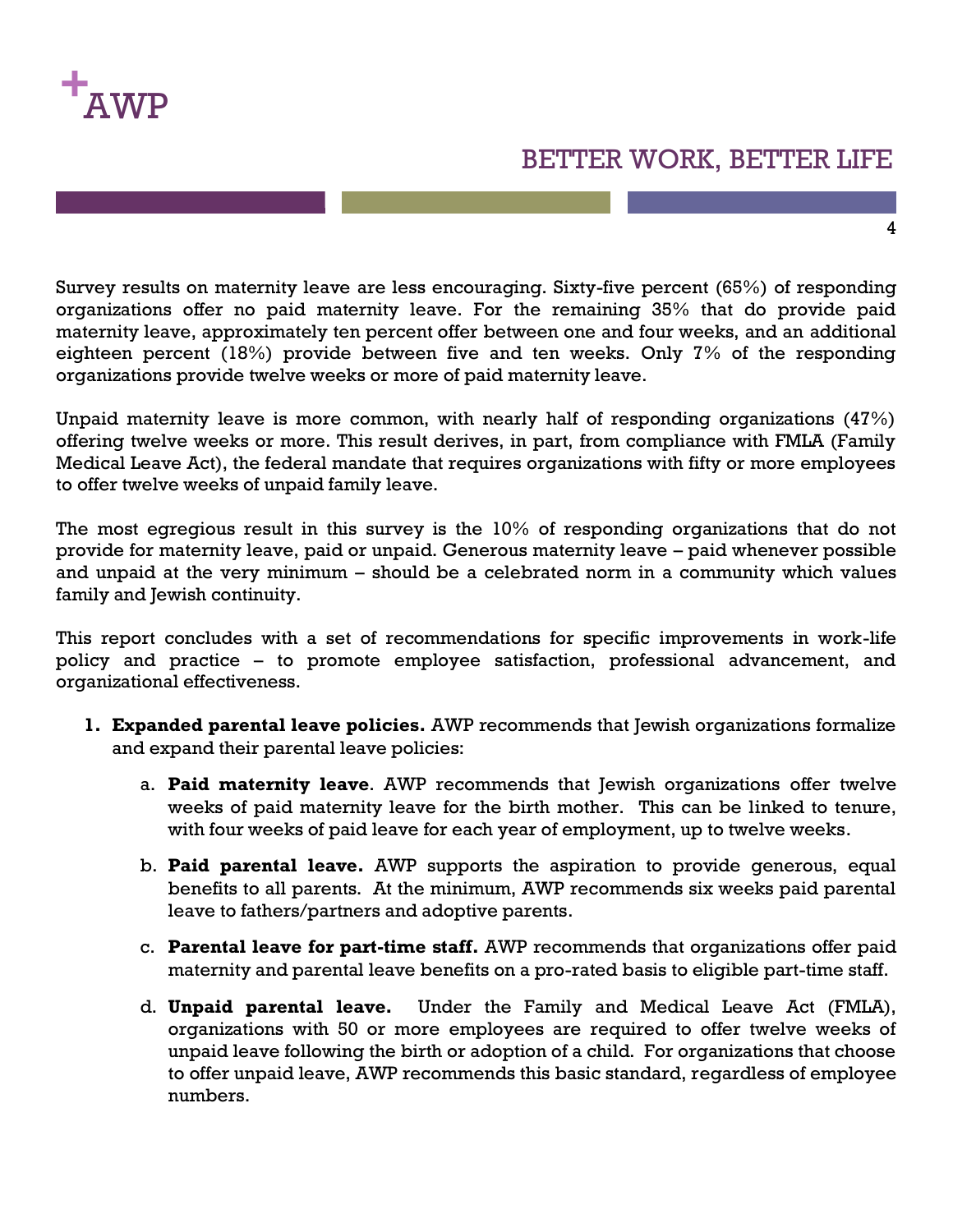

4

Survey results on maternity leave are less encouraging. Sixty-five percent (65%) of responding organizations offer no paid maternity leave. For the remaining 35% that do provide paid maternity leave, approximately ten percent offer between one and four weeks, and an additional eighteen percent (18%) provide between five and ten weeks. Only 7% of the responding organizations provide twelve weeks or more of paid maternity leave.

Unpaid maternity leave is more common, with nearly half of responding organizations (47%) offering twelve weeks or more. This result derives, in part, from compliance with FMLA (Family Medical Leave Act), the federal mandate that requires organizations with fifty or more employees to offer twelve weeks of unpaid family leave.

The most egregious result in this survey is the 10% of responding organizations that do not provide for maternity leave, paid or unpaid. Generous maternity leave – paid whenever possible and unpaid at the very minimum – should be a celebrated norm in a community which values family and Jewish continuity.

This report concludes with a set of recommendations for specific improvements in work-life policy and practice – to promote employee satisfaction, professional advancement, and organizational effectiveness.

- **1. Expanded parental leave policies.** AWP recommends that Jewish organizations formalize and expand their parental leave policies:
	- a. **Paid maternity leave**. AWP recommends that Jewish organizations offer twelve weeks of paid maternity leave for the birth mother. This can be linked to tenure, with four weeks of paid leave for each year of employment, up to twelve weeks.
	- b. **Paid parental leave.** AWP supports the aspiration to provide generous, equal benefits to all parents. At the minimum, AWP recommends six weeks paid parental leave to fathers/partners and adoptive parents.
	- c. **Parental leave for part-time staff.** AWP recommends that organizations offer paid maternity and parental leave benefits on a pro-rated basis to eligible part-time staff.
	- d. **Unpaid parental leave.** Under the Family and Medical Leave Act (FMLA), organizations with 50 or more employees are required to offer twelve weeks of unpaid leave following the birth or adoption of a child. For organizations that choose to offer unpaid leave, AWP recommends this basic standard, regardless of employee numbers.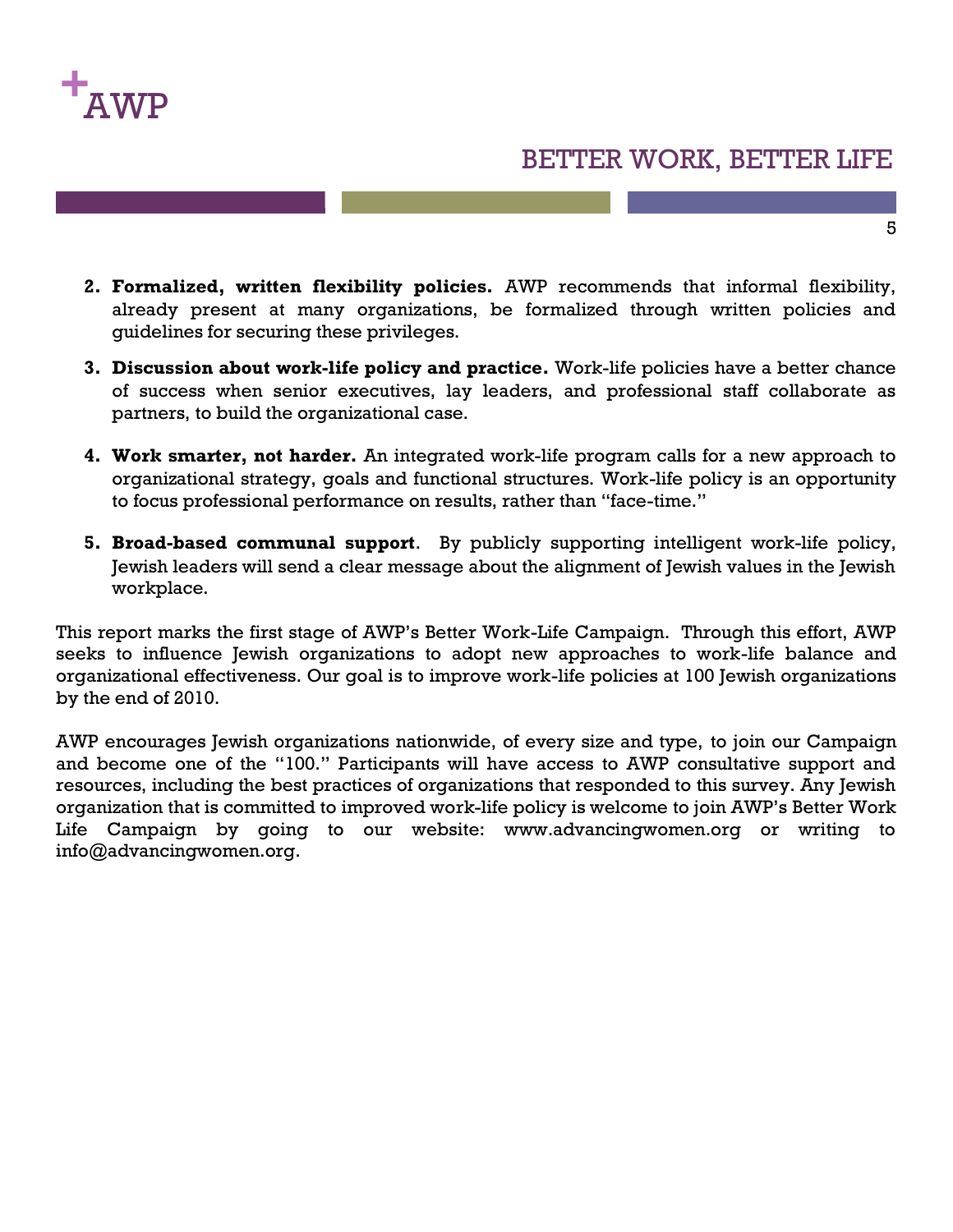

- **2. Formalized, written flexibility policies.** AWP recommends that informal flexibility, already present at many organizations, be formalized through written policies and guidelines for securing these privileges.
- **3. Discussion about work-life policy and practice.** Work-life policies have a better chance of success when senior executives, lay leaders, and professional staff collaborate as partners, to build the organizational case.
- **4. Work smarter, not harder.** An integrated work-life program calls for a new approach to organizational strategy, goals and functional structures. Work-life policy is an opportunity to focus professional performance on results, rather than "face-time."
- **5. Broad-based communal support**. By publicly supporting intelligent work-life policy, Jewish leaders will send a clear message about the alignment of Jewish values in the Jewish workplace.

This report marks the first stage of AWP's Better Work-Life Campaign. Through this effort, AWP seeks to influence Jewish organizations to adopt new approaches to work-life balance and organizational effectiveness. Our goal is to improve work-life policies at 100 Jewish organizations by the end of 2010.

AWP encourages Jewish organizations nationwide, of every size and type, to join our Campaign and become one of the "100." Participants will have access to AWP consultative support and resources, including the best practices of organizations that responded to this survey. Any Jewish organization that is committed to improved work-life policy is welcome to join AWP's Better Work Life Campaign by going to our website: www.advancingwomen.org or writing to info@advancingwomen.org.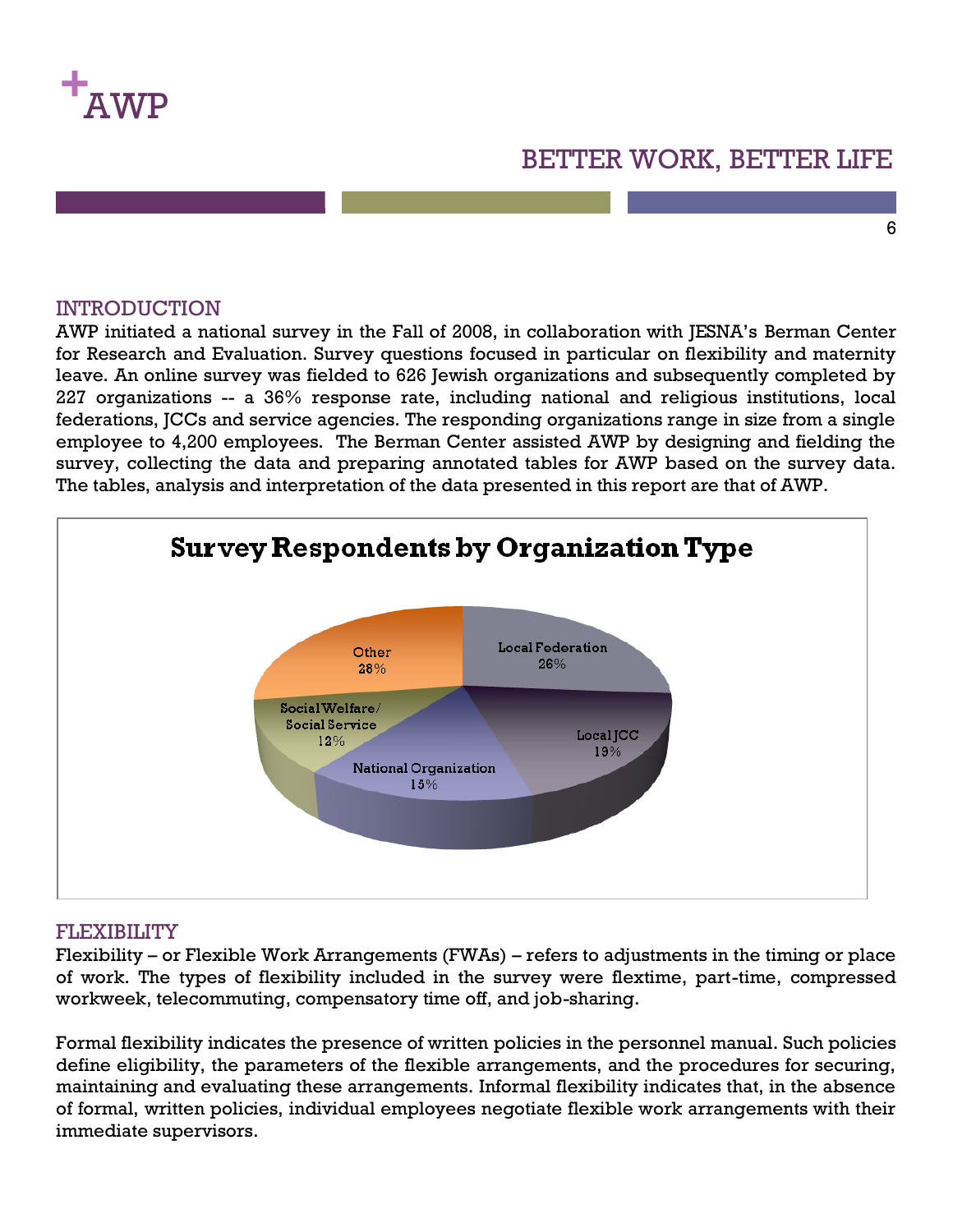

#### 6

#### **INTRODUCTION**

AWP initiated a national survey in the Fall of 2008, in collaboration with JESNA's Berman Center for Research and Evaluation. Survey questions focused in particular on flexibility and maternity leave. An online survey was fielded to 626 Jewish organizations and subsequently completed by 227 organizations -- a 36% response rate, including national and religious institutions, local federations, JCCs and service agencies. The responding organizations range in size from a single employee to 4,200 employees. The Berman Center assisted AWP by designing and fielding the survey, collecting the data and preparing annotated tables for AWP based on the survey data. The tables, analysis and interpretation of the data presented in this report are that of AWP.



#### FLEXIBILITY

Flexibility – or Flexible Work Arrangements (FWAs) – refers to adjustments in the timing or place of work. The types of flexibility included in the survey were flextime, part-time, compressed workweek, telecommuting, compensatory time off, and job-sharing.

Formal flexibility indicates the presence of written policies in the personnel manual. Such policies define eligibility, the parameters of the flexible arrangements, and the procedures for securing, maintaining and evaluating these arrangements. Informal flexibility indicates that, in the absence of formal, written policies, individual employees negotiate flexible work arrangements with their immediate supervisors.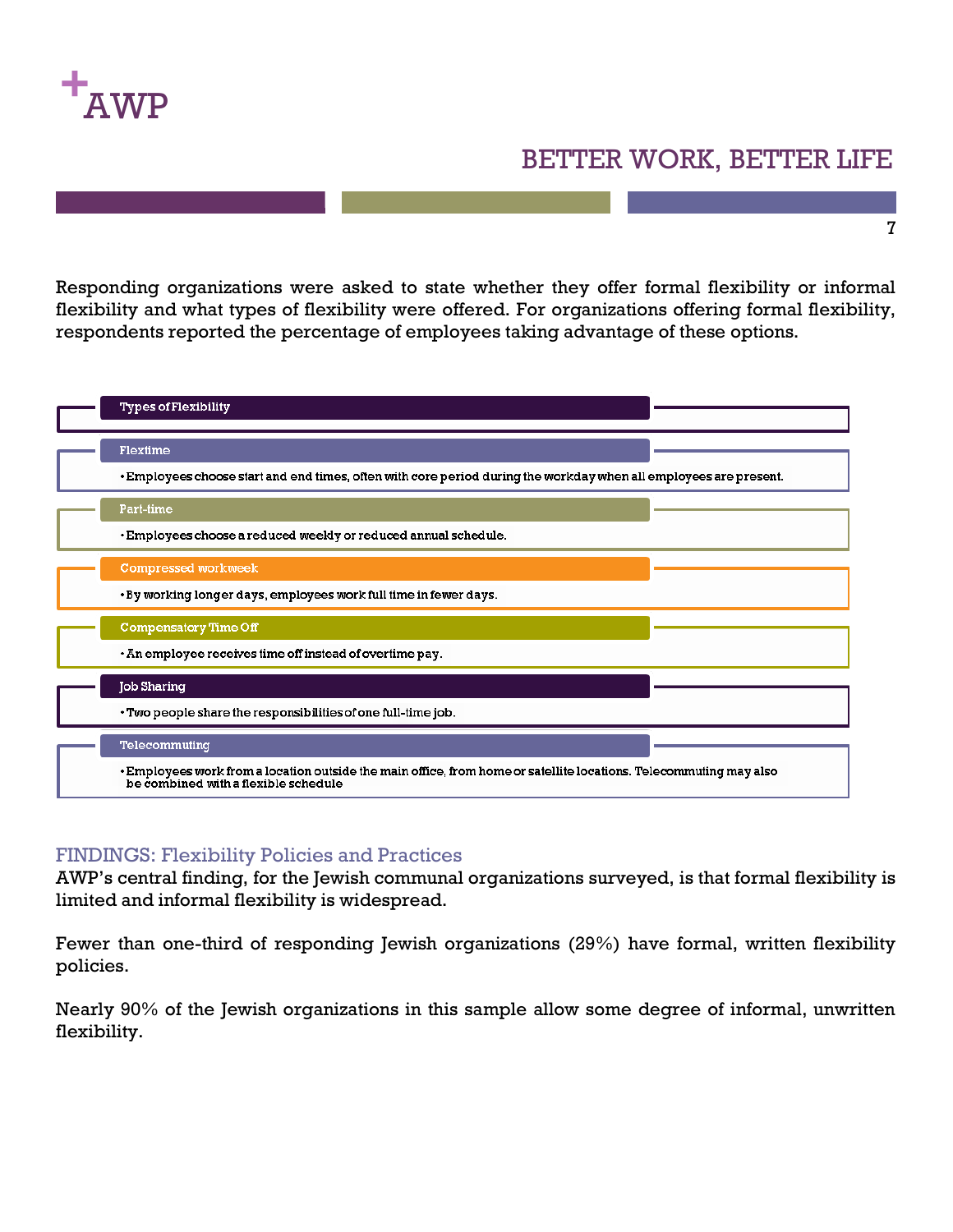

7

Responding organizations were asked to state whether they offer formal flexibility or informal flexibility and what types of flexibility were offered. For organizations offering formal flexibility, respondents reported the percentage of employees taking advantage of these options.



#### FINDINGS: Flexibility Policies and Practices

AWP's central finding, for the Jewish communal organizations surveyed, is that formal flexibility is limited and informal flexibility is widespread.

Fewer than one-third of responding Jewish organizations (29%) have formal, written flexibility policies.

Nearly 90% of the Jewish organizations in this sample allow some degree of informal, unwritten flexibility.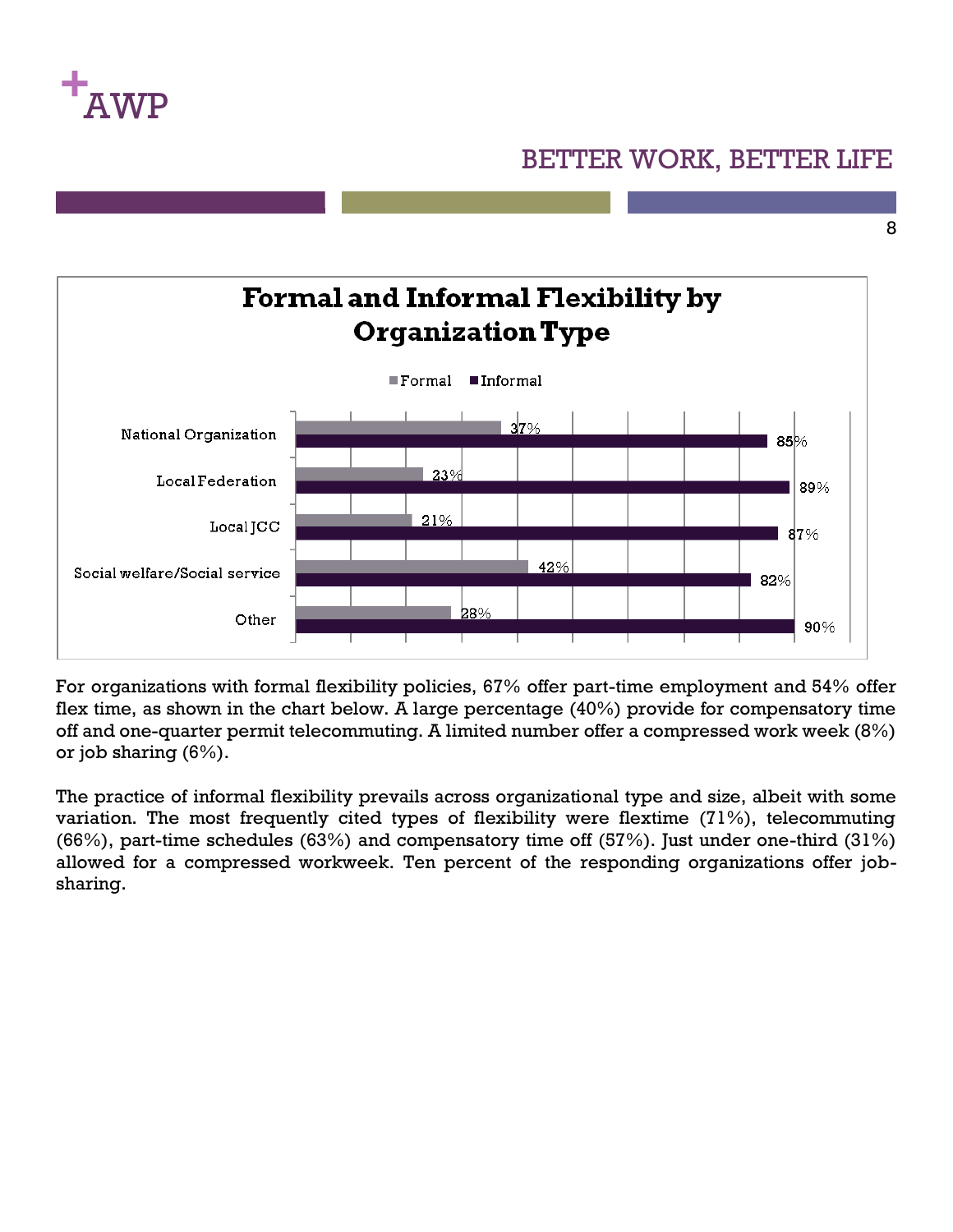

8



For organizations with formal flexibility policies, 67% offer part-time employment and 54% offer flex time, as shown in the chart below. A large percentage (40%) provide for compensatory time off and one-quarter permit telecommuting. A limited number offer a compressed work week (8%) or job sharing (6%).

The practice of informal flexibility prevails across organizational type and size, albeit with some variation. The most frequently cited types of flexibility were flextime (71%), telecommuting (66%), part-time schedules (63%) and compensatory time off (57%). Just under one-third (31%) allowed for a compressed workweek. Ten percent of the responding organizations offer jobsharing.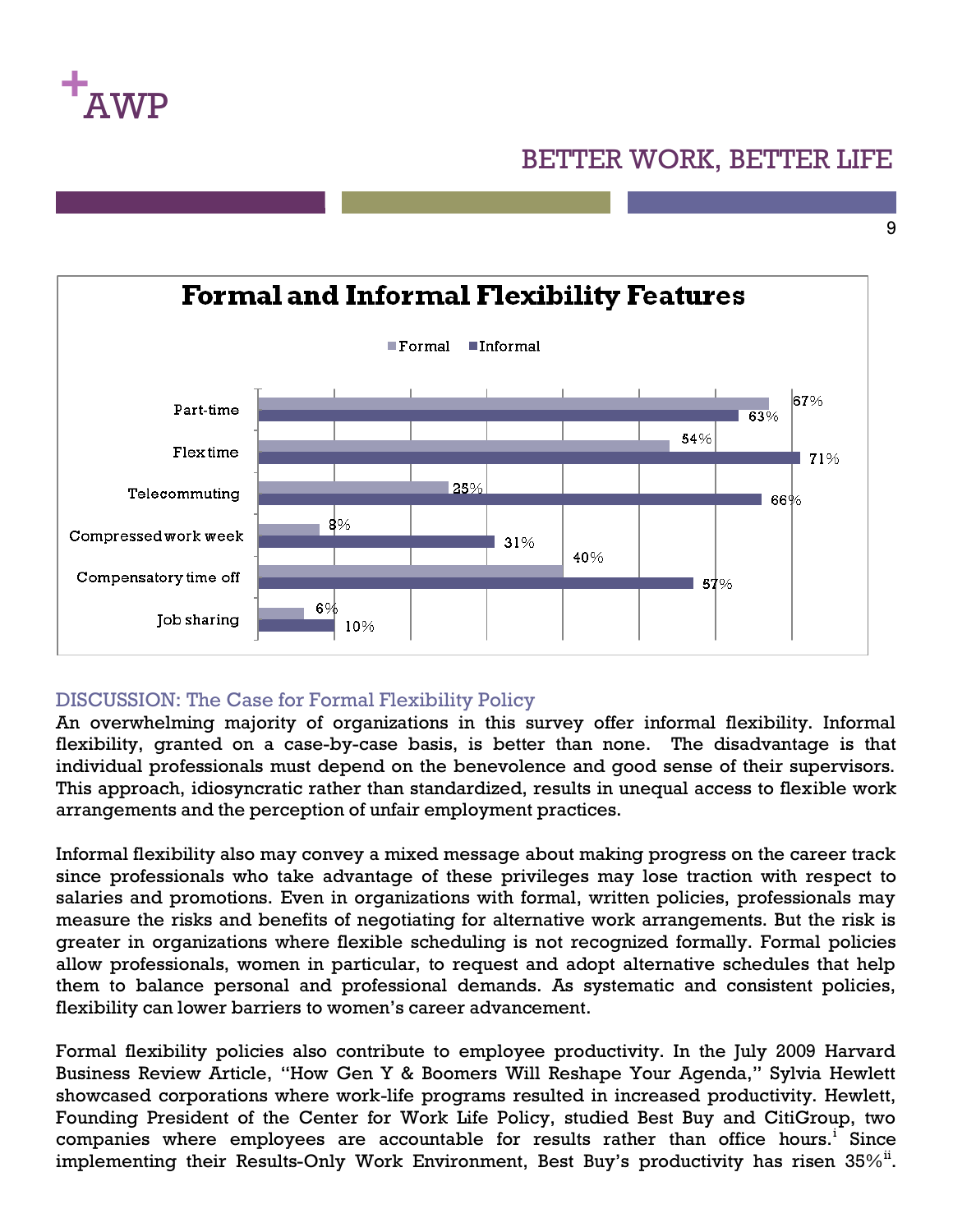

9



#### DISCUSSION: The Case for Formal Flexibility Policy

An overwhelming majority of organizations in this survey offer informal flexibility. Informal flexibility, granted on a case-by-case basis, is better than none. The disadvantage is that individual professionals must depend on the benevolence and good sense of their supervisors. This approach, idiosyncratic rather than standardized, results in unequal access to flexible work arrangements and the perception of unfair employment practices.

Informal flexibility also may convey a mixed message about making progress on the career track since professionals who take advantage of these privileges may lose traction with respect to salaries and promotions. Even in organizations with formal, written policies, professionals may measure the risks and benefits of negotiating for alternative work arrangements. But the risk is greater in organizations where flexible scheduling is not recognized formally. Formal policies allow professionals, women in particular, to request and adopt alternative schedules that help them to balance personal and professional demands. As systematic and consistent policies, flexibility can lower barriers to women's career advancement.

Formal flexibility policies also contribute to employee productivity. In the July 2009 Harvard Business Review Article, "How Gen Y & Boomers Will Reshape Your Agenda," Sylvia Hewlett showcased corporations where work-life programs resulted in increased productivity. Hewlett, Founding President of the Center for Work Life Policy, studied Best Buy and CitiGroup, two companies where employees are accountable for results rather than office hours.<sup>i</sup> Since implementing their Results-Only Work Environment, Best Buy's productivity has risen  $35\%$ <sup>ii</sup>.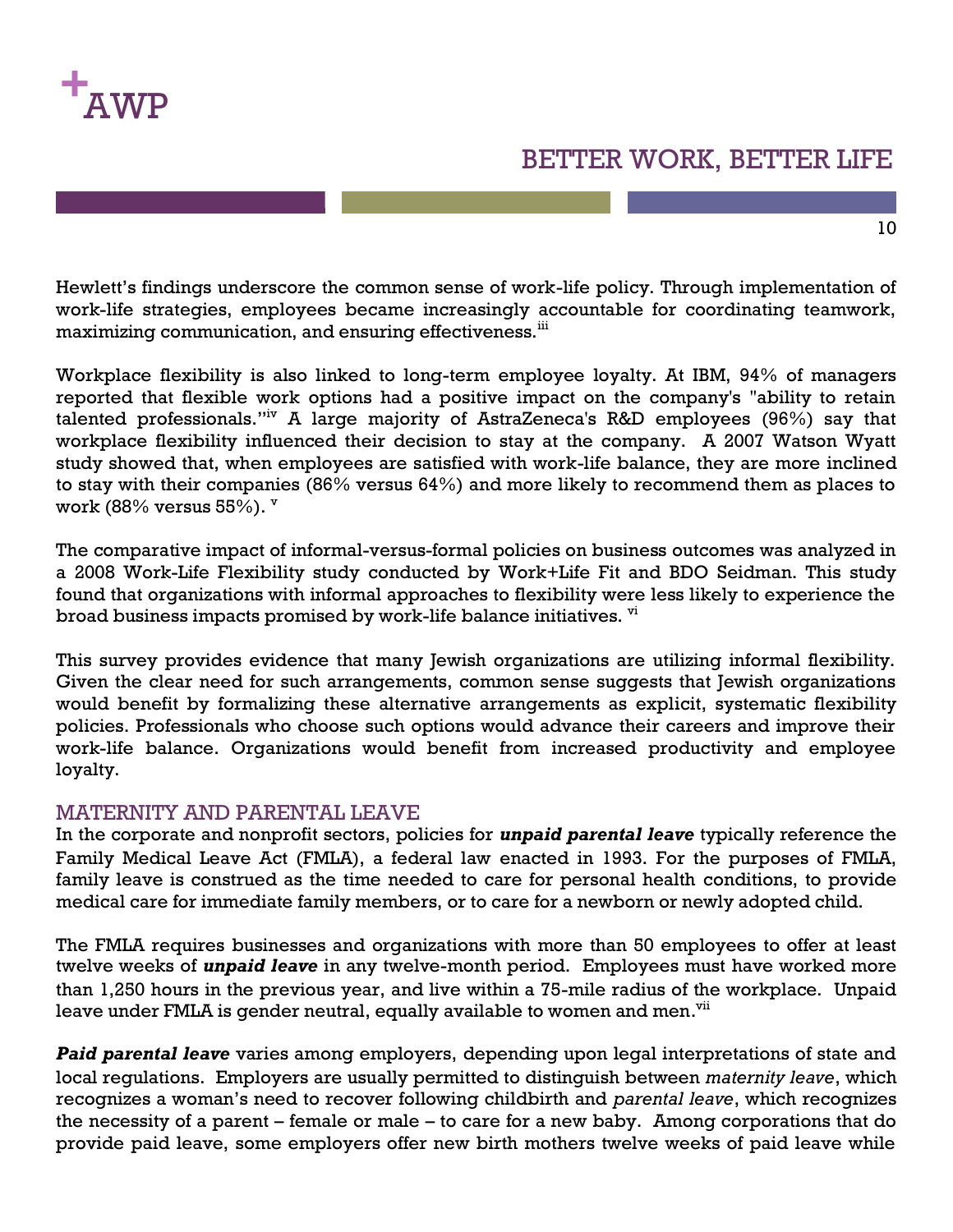

Hewlett's findings underscore the common sense of work-life policy. Through implementation of work-life strategies, employees became increasingly accountable for coordinating teamwork, maximizing communication, and ensuring effectiveness.<sup>iii</sup>

Workplace flexibility is also linked to long-term employee loyalty. At IBM, 94% of managers reported that flexible work options had a positive impact on the company's "ability to retain talented professionals."iv A large majority of AstraZeneca's R&D employees (96%) say that workplace flexibility influenced their decision to stay at the company. A 2007 Watson Wyatt study showed that, when employees are satisfied with work-life balance, they are more inclined to stay with their companies (86% versus 64%) and more likely to recommend them as places to work (88% versus  $55\%$ ).  $\mathrm{v}$ 

The comparative impact of informal-versus-formal policies on business outcomes was analyzed in a 2008 Work-Life Flexibility study conducted by Work+Life Fit and BDO Seidman. This study found that organizations with informal approaches to flexibility were less likely to experience the broad business impacts promised by work-life balance initiatives.  $\overline{v}$ 

This survey provides evidence that many Jewish organizations are utilizing informal flexibility. Given the clear need for such arrangements, common sense suggests that Jewish organizations would benefit by formalizing these alternative arrangements as explicit, systematic flexibility policies. Professionals who choose such options would advance their careers and improve their work-life balance. Organizations would benefit from increased productivity and employee loyalty.

#### MATERNITY AND PARENTAL LEAVE

In the corporate and nonprofit sectors, policies for *unpaid parental leave* typically reference the Family Medical Leave Act (FMLA), a federal law enacted in 1993. For the purposes of FMLA, family leave is construed as the time needed to care for personal health conditions, to provide medical care for immediate family members, or to care for a newborn or newly adopted child.

The FMLA requires businesses and organizations with more than 50 employees to offer at least twelve weeks of *unpaid leave* in any twelve-month period. Employees must have worked more than 1,250 hours in the previous year, and live within a 75-mile radius of the workplace. Unpaid leave under FMLA is gender neutral, equally available to women and men.<sup>vii</sup>

*Paid parental leave* varies among employers, depending upon legal interpretations of state and local regulations. Employers are usually permitted to distinguish between *maternity leave*, which recognizes a woman's need to recover following childbirth and *parental leave*, which recognizes the necessity of a parent – female or male – to care for a new baby. Among corporations that do provide paid leave, some employers offer new birth mothers twelve weeks of paid leave while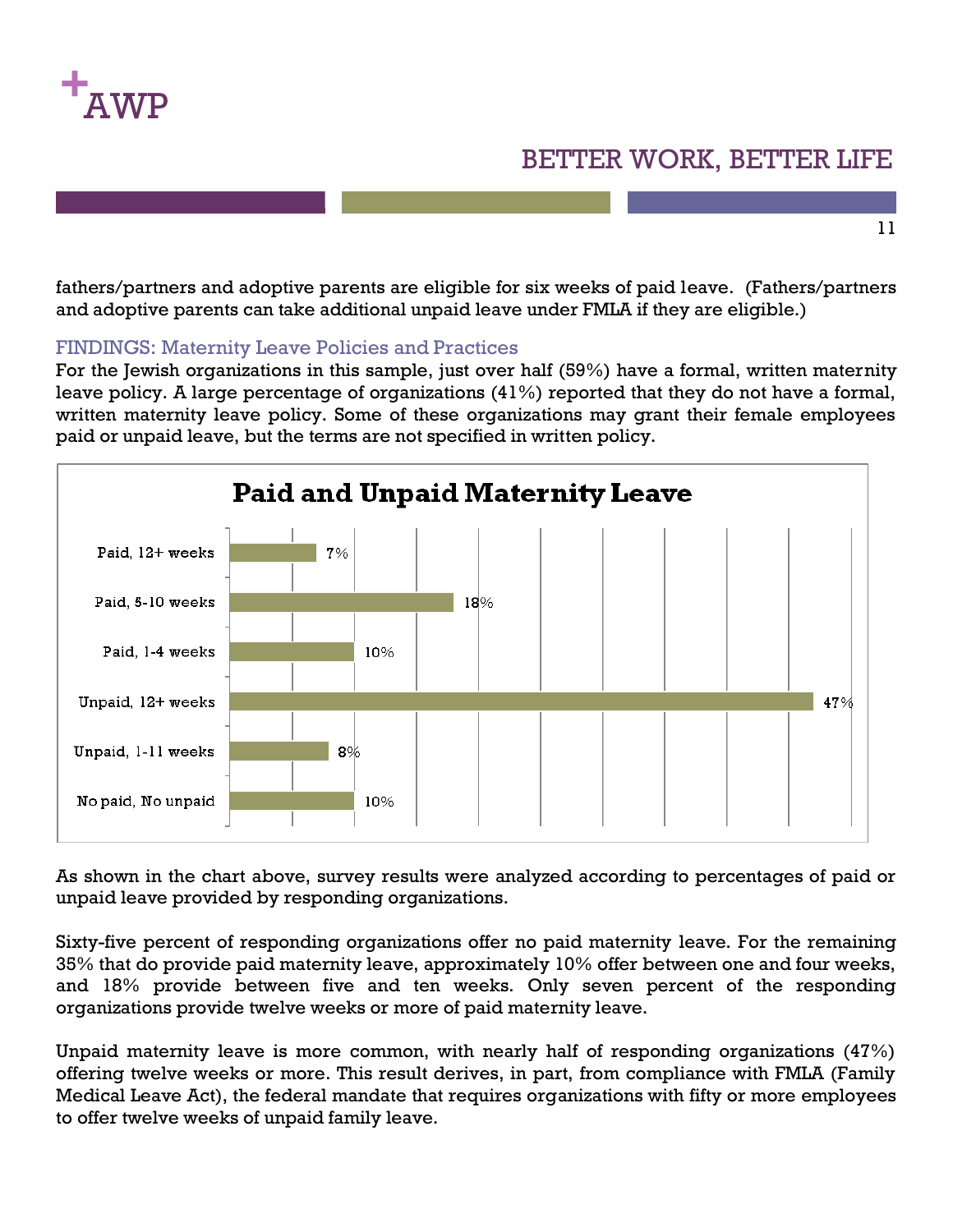

11

fathers/partners and adoptive parents are eligible for six weeks of paid leave. (Fathers/partners and adoptive parents can take additional unpaid leave under FMLA if they are eligible.)

#### FINDINGS: Maternity Leave Policies and Practices

For the Jewish organizations in this sample, just over half (59%) have a formal, written maternity leave policy. A large percentage of organizations (41%) reported that they do not have a formal, written maternity leave policy. Some of these organizations may grant their female employees paid or unpaid leave, but the terms are not specified in written policy.



As shown in the chart above, survey results were analyzed according to percentages of paid or unpaid leave provided by responding organizations.

Sixty-five percent of responding organizations offer no paid maternity leave. For the remaining 35% that do provide paid maternity leave, approximately 10% offer between one and four weeks, and 18% provide between five and ten weeks. Only seven percent of the responding organizations provide twelve weeks or more of paid maternity leave.

Unpaid maternity leave is more common, with nearly half of responding organizations (47%) offering twelve weeks or more. This result derives, in part, from compliance with FMLA (Family Medical Leave Act), the federal mandate that requires organizations with fifty or more employees to offer twelve weeks of unpaid family leave.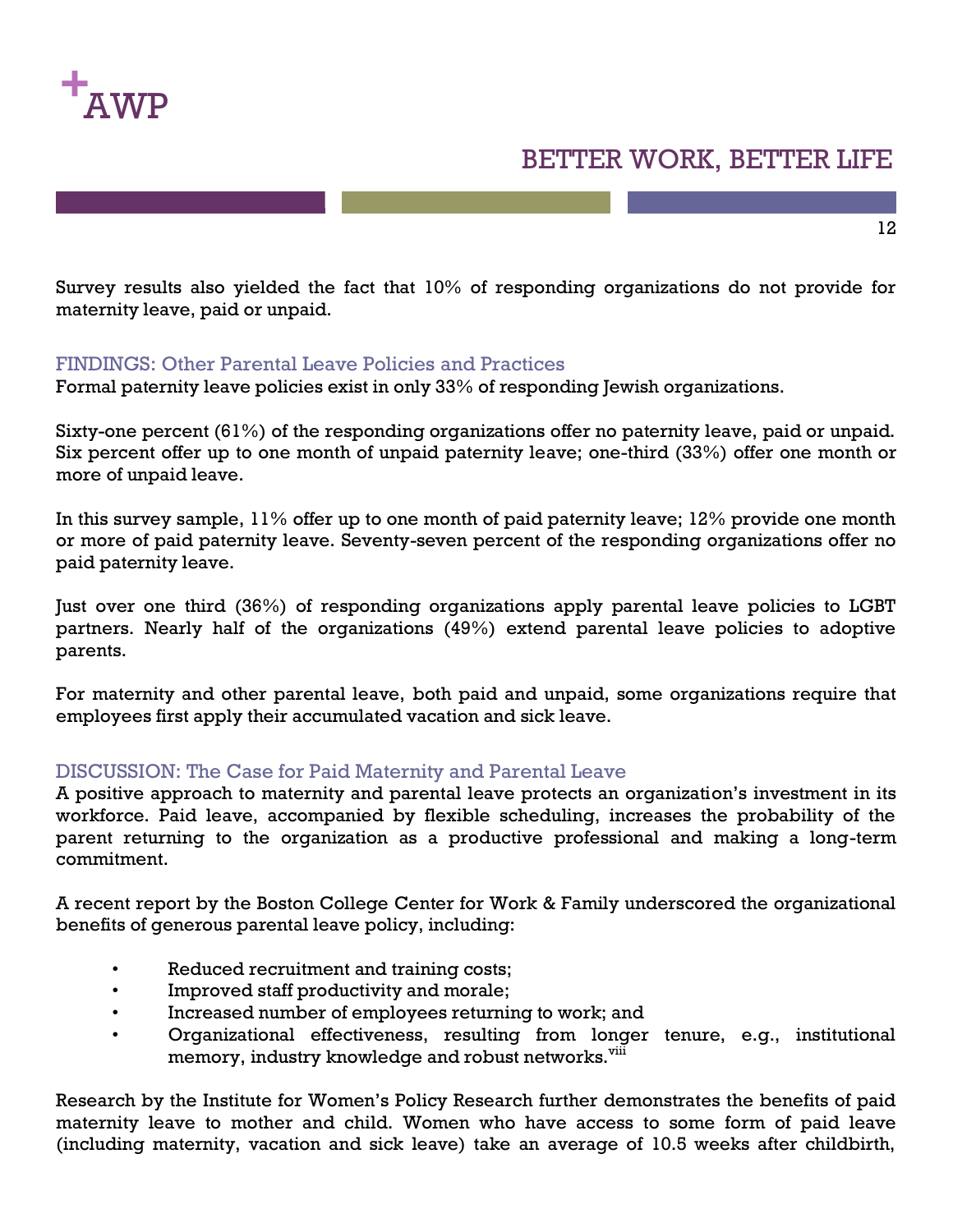

Survey results also yielded the fact that 10% of responding organizations do not provide for maternity leave, paid or unpaid.

#### FINDINGS: Other Parental Leave Policies and Practices

Formal paternity leave policies exist in only 33% of responding Jewish organizations.

Sixty-one percent (61%) of the responding organizations offer no paternity leave, paid or unpaid. Six percent offer up to one month of unpaid paternity leave; one-third (33%) offer one month or more of unpaid leave.

In this survey sample,  $11\%$  offer up to one month of paid paternity leave;  $12\%$  provide one month or more of paid paternity leave. Seventy-seven percent of the responding organizations offer no paid paternity leave.

Just over one third (36%) of responding organizations apply parental leave policies to LGBT partners. Nearly half of the organizations (49%) extend parental leave policies to adoptive parents.

For maternity and other parental leave, both paid and unpaid, some organizations require that employees first apply their accumulated vacation and sick leave.

#### DISCUSSION: The Case for Paid Maternity and Parental Leave

A positive approach to maternity and parental leave protects an organization's investment in its workforce. Paid leave, accompanied by flexible scheduling, increases the probability of the parent returning to the organization as a productive professional and making a long-term commitment.

A recent report by the Boston College Center for Work & Family underscored the organizational benefits of generous parental leave policy, including:

- Reduced recruitment and training costs;
- Improved staff productivity and morale;
- Increased number of employees returning to work; and
- Organizational effectiveness, resulting from longer tenure, e.g., institutional memory, industry knowledge and robust networks.<sup>viii</sup>

Research by the Institute for Women's Policy Research further demonstrates the benefits of paid maternity leave to mother and child. Women who have access to some form of paid leave (including maternity, vacation and sick leave) take an average of 10.5 weeks after childbirth,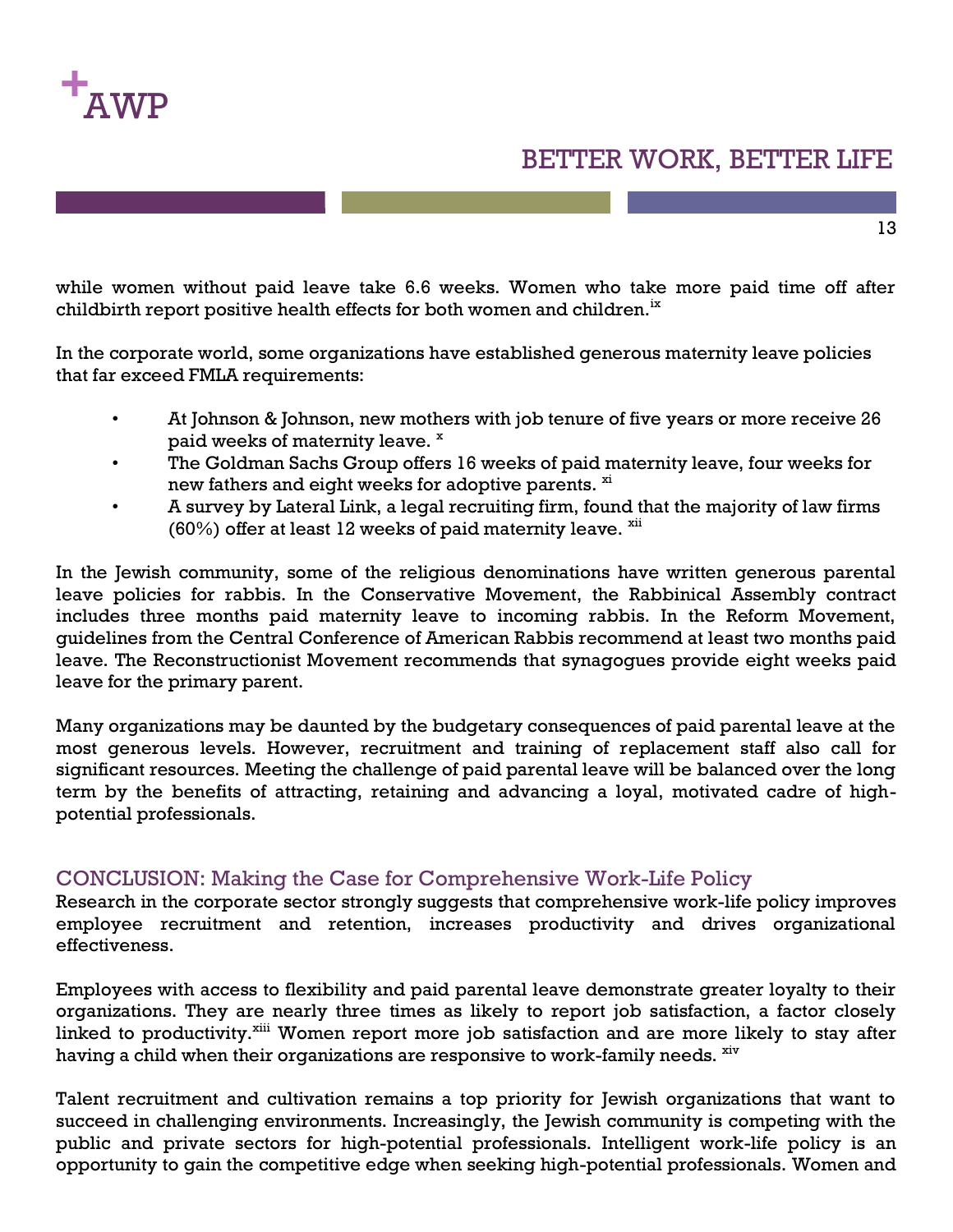

while women without paid leave take 6.6 weeks. Women who take more paid time off after childbirth report positive health effects for both women and children.<sup>ix</sup>

In the corporate world, some organizations have established generous maternity leave policies that far exceed FMLA requirements:

- At Johnson & Johnson, new mothers with job tenure of five years or more receive 26 paid weeks of maternity leave.  $x =$
- The Goldman Sachs Group offers 16 weeks of paid maternity leave, four weeks for new fathers and eight weeks for adoptive parents.  $\frac{x}{x}$
- A survey by Lateral Link, a legal recruiting firm, found that the majority of law firms  $(60%)$  offer at least 12 weeks of paid maternity leave.  $\frac{X}{X}$

In the Jewish community, some of the religious denominations have written generous parental leave policies for rabbis. In the Conservative Movement, the Rabbinical Assembly contract includes three months paid maternity leave to incoming rabbis. In the Reform Movement, guidelines from the Central Conference of American Rabbis recommend at least two months paid leave. The Reconstructionist Movement recommends that synagogues provide eight weeks paid leave for the primary parent.

Many organizations may be daunted by the budgetary consequences of paid parental leave at the most generous levels. However, recruitment and training of replacement staff also call for significant resources. Meeting the challenge of paid parental leave will be balanced over the long term by the benefits of attracting, retaining and advancing a loyal, motivated cadre of highpotential professionals.

#### CONCLUSION: Making the Case for Comprehensive Work-Life Policy

Research in the corporate sector strongly suggests that comprehensive work-life policy improves employee recruitment and retention, increases productivity and drives organizational effectiveness.

Employees with access to flexibility and paid parental leave demonstrate greater loyalty to their organizations. They are nearly three times as likely to report job satisfaction, a factor closely linked to productivity.<sup>xiii</sup> Women report more job satisfaction and are more likely to stay after having a child when their organizations are responsive to work-family needs.  $\frac{xiv}{ }$ 

Talent recruitment and cultivation remains a top priority for Jewish organizations that want to succeed in challenging environments. Increasingly, the Jewish community is competing with the public and private sectors for high-potential professionals. Intelligent work-life policy is an opportunity to gain the competitive edge when seeking high-potential professionals. Women and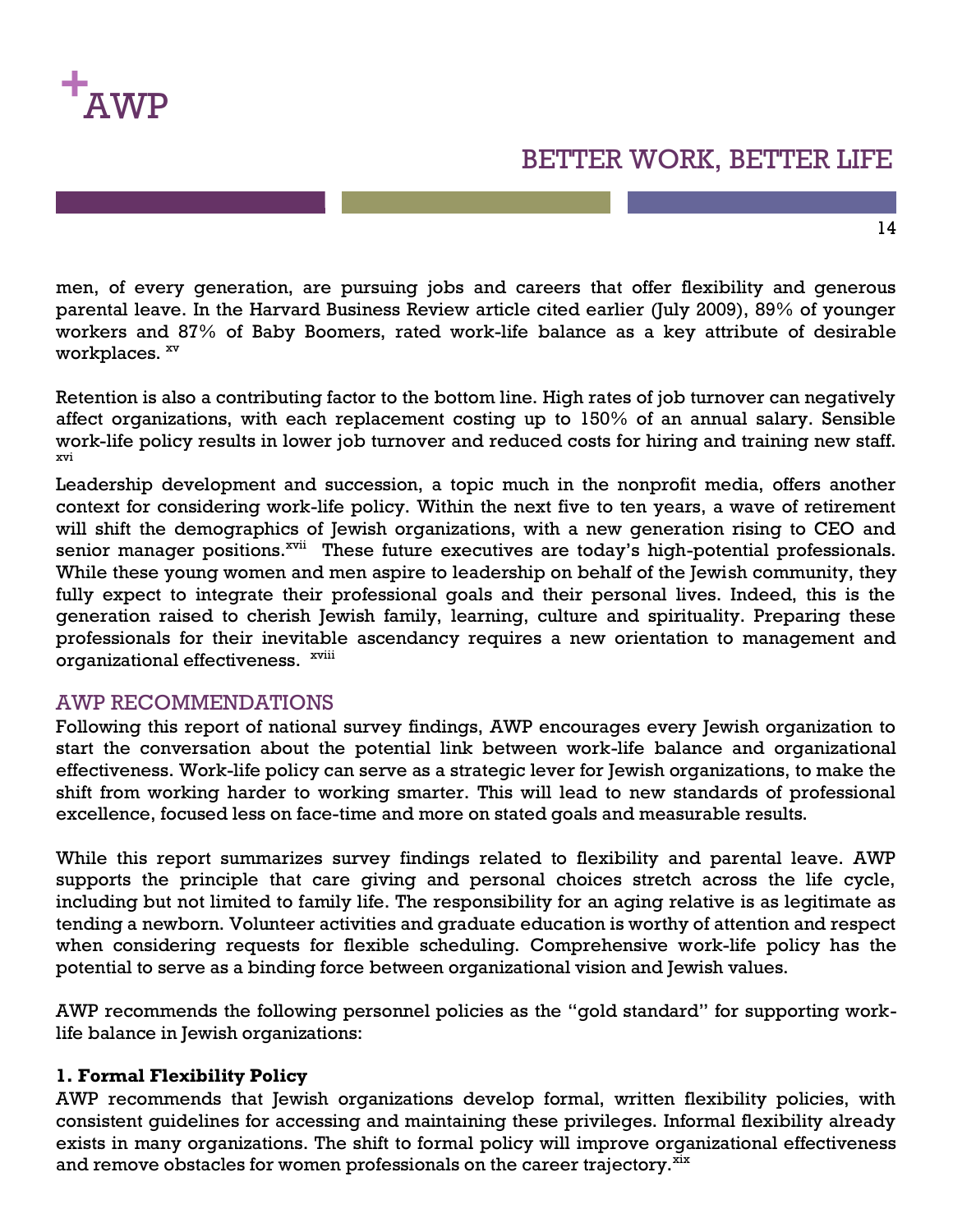

men, of every generation, are pursuing jobs and careers that offer flexibility and generous parental leave. In the Harvard Business Review article cited earlier (July 2009), 89% of younger workers and 87% of Baby Boomers, rated work-life balance as a key attribute of desirable workplaces.  $\frac{xy}{y}$ 

Retention is also a contributing factor to the bottom line. High rates of job turnover can negatively affect organizations, with each replacement costing up to 150% of an annual salary. Sensible work-life policy results in lower job turnover and reduced costs for hiring and training new staff. xvi

Leadership development and succession, a topic much in the nonprofit media, offers another context for considering work-life policy. Within the next five to ten years, a wave of retirement will shift the demographics of Jewish organizations, with a new generation rising to CEO and senior manager positions.<sup>xvii</sup> These future executives are today's high-potential professionals. While these young women and men aspire to leadership on behalf of the Jewish community, they fully expect to integrate their professional goals and their personal lives. Indeed, this is the generation raised to cherish Jewish family, learning, culture and spirituality. Preparing these professionals for their inevitable ascendancy requires a new orientation to management and organizational effectiveness. <sup>xviii</sup>

#### AWP RECOMMENDATIONS

Following this report of national survey findings, AWP encourages every Jewish organization to start the conversation about the potential link between work-life balance and organizational effectiveness. Work-life policy can serve as a strategic lever for Jewish organizations, to make the shift from working harder to working smarter. This will lead to new standards of professional excellence, focused less on face-time and more on stated goals and measurable results.

While this report summarizes survey findings related to flexibility and parental leave. AWP supports the principle that care giving and personal choices stretch across the life cycle, including but not limited to family life. The responsibility for an aging relative is as legitimate as tending a newborn. Volunteer activities and graduate education is worthy of attention and respect when considering requests for flexible scheduling. Comprehensive work-life policy has the potential to serve as a binding force between organizational vision and Jewish values.

AWP recommends the following personnel policies as the "gold standard" for supporting worklife balance in Jewish organizations:

#### **1. Formal Flexibility Policy**

AWP recommends that Jewish organizations develop formal, written flexibility policies, with consistent guidelines for accessing and maintaining these privileges. Informal flexibility already exists in many organizations. The shift to formal policy will improve organizational effectiveness and remove obstacles for women professionals on the career trajectory.  $\frac{X}{X}$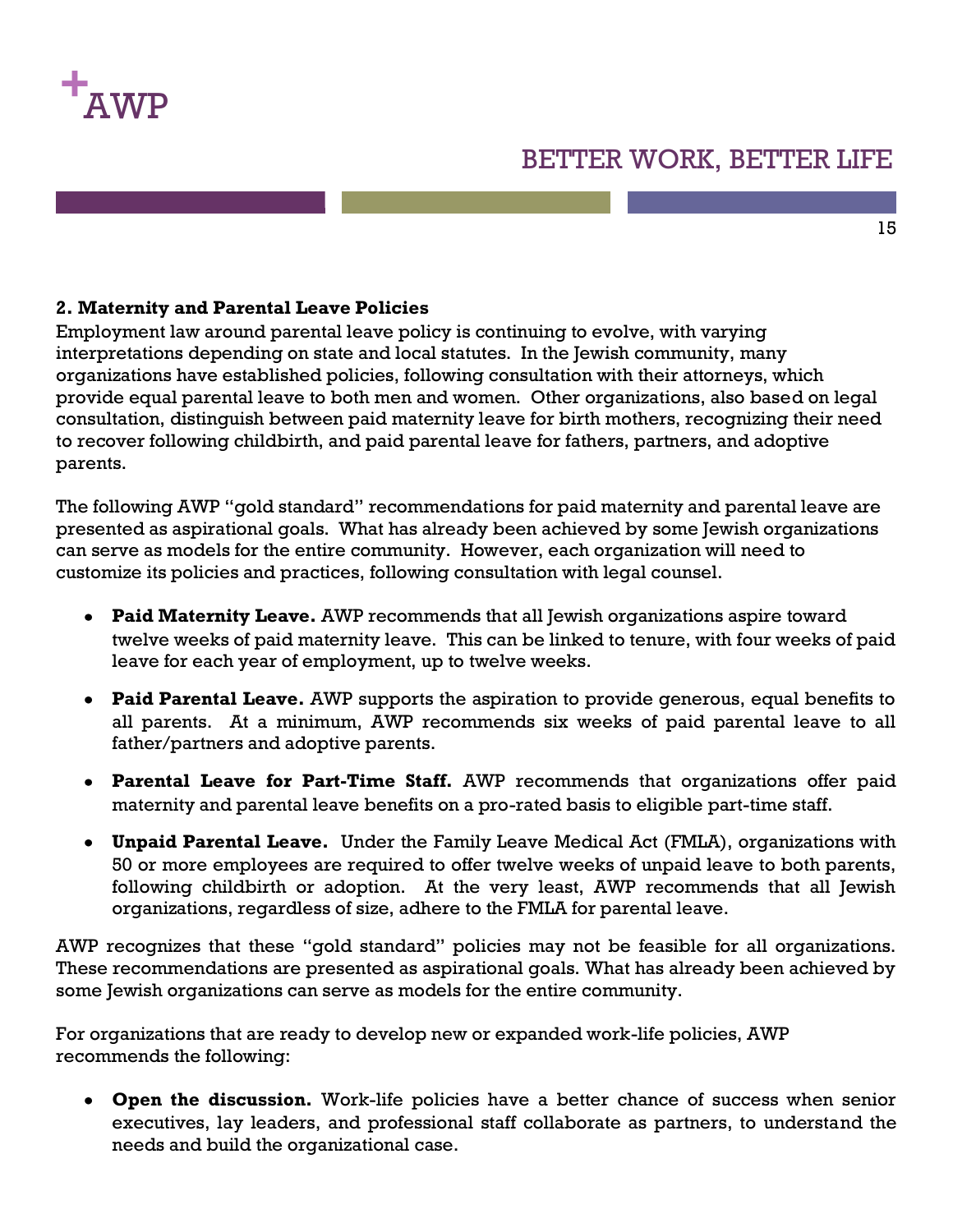

#### 15

#### **2. Maternity and Parental Leave Policies**

Employment law around parental leave policy is continuing to evolve, with varying interpretations depending on state and local statutes. In the Jewish community, many organizations have established policies, following consultation with their attorneys, which provide equal parental leave to both men and women. Other organizations, also based on legal consultation, distinguish between paid maternity leave for birth mothers, recognizing their need to recover following childbirth, and paid parental leave for fathers, partners, and adoptive parents.

The following AWP "gold standard" recommendations for paid maternity and parental leave are presented as aspirational goals. What has already been achieved by some Jewish organizations can serve as models for the entire community. However, each organization will need to customize its policies and practices, following consultation with legal counsel.

- **Paid Maternity Leave.** AWP recommends that all Jewish organizations aspire toward twelve weeks of paid maternity leave. This can be linked to tenure, with four weeks of paid leave for each year of employment, up to twelve weeks.
- **Paid Parental Leave.** AWP supports the aspiration to provide generous, equal benefits to all parents. At a minimum, AWP recommends six weeks of paid parental leave to all father/partners and adoptive parents.
- **Parental Leave for Part-Time Staff.** AWP recommends that organizations offer paid maternity and parental leave benefits on a pro-rated basis to eligible part-time staff.
- **Unpaid Parental Leave.** Under the Family Leave Medical Act (FMLA), organizations with 50 or more employees are required to offer twelve weeks of unpaid leave to both parents, following childbirth or adoption. At the very least, AWP recommends that all Jewish organizations, regardless of size, adhere to the FMLA for parental leave.

AWP recognizes that these "gold standard" policies may not be feasible for all organizations. These recommendations are presented as aspirational goals. What has already been achieved by some Jewish organizations can serve as models for the entire community.

For organizations that are ready to develop new or expanded work-life policies, AWP recommends the following:

**Open the discussion.** Work-life policies have a better chance of success when senior executives, lay leaders, and professional staff collaborate as partners, to understand the needs and build the organizational case.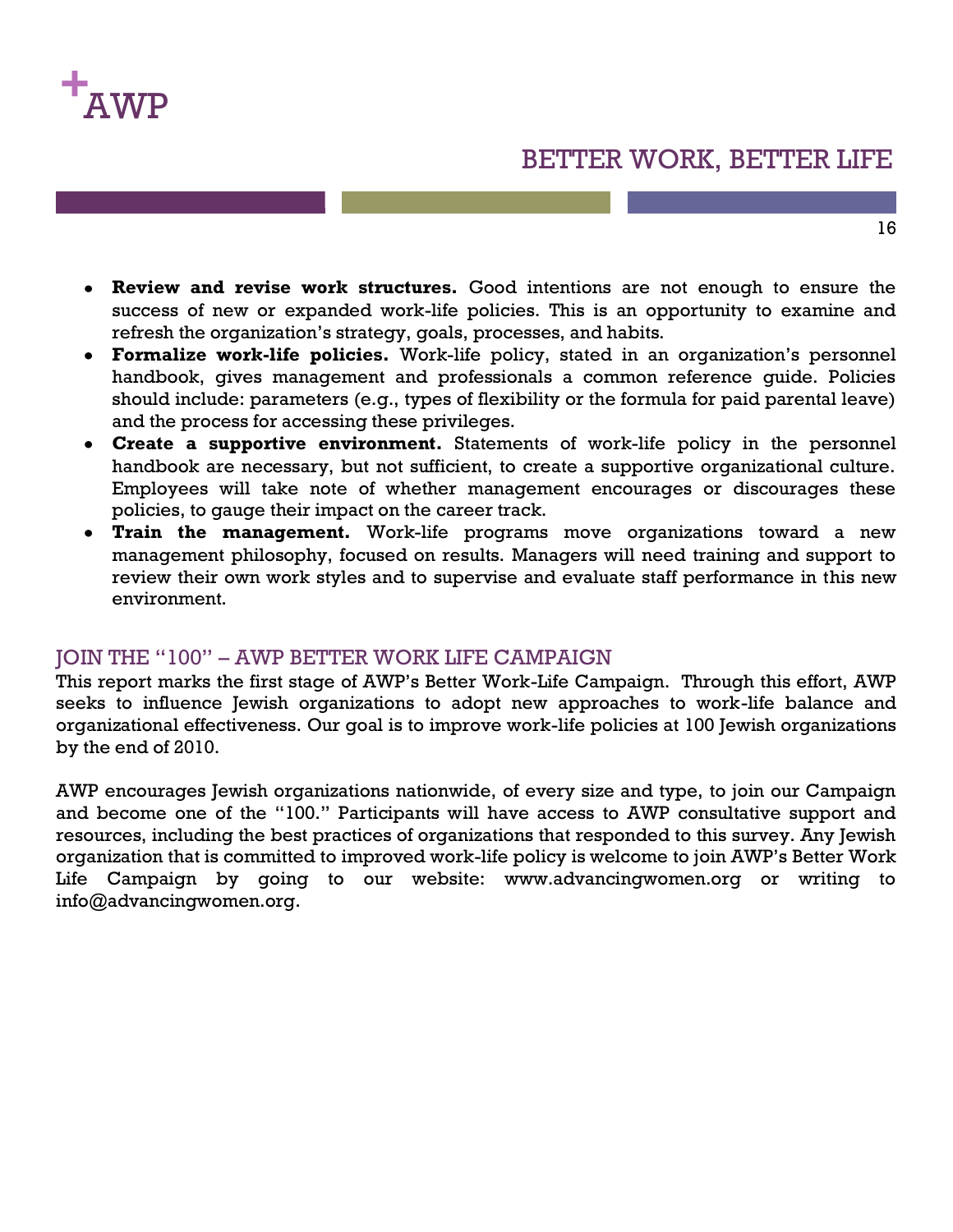

16

- **Review and revise work structures.** Good intentions are not enough to ensure the success of new or expanded work-life policies. This is an opportunity to examine and refresh the organization's strategy, goals, processes, and habits.
- **Formalize work-life policies.** Work-life policy, stated in an organization's personnel handbook, gives management and professionals a common reference guide. Policies should include: parameters (e.g., types of flexibility or the formula for paid parental leave) and the process for accessing these privileges.
- **Create a supportive environment.** Statements of work-life policy in the personnel handbook are necessary, but not sufficient, to create a supportive organizational culture. Employees will take note of whether management encourages or discourages these policies, to gauge their impact on the career track.
- **Train the management.** Work-life programs move organizations toward a new management philosophy, focused on results. Managers will need training and support to review their own work styles and to supervise and evaluate staff performance in this new environment.

#### JOIN THE "100" – AWP BETTER WORK LIFE CAMPAIGN

This report marks the first stage of AWP's Better Work-Life Campaign. Through this effort, AWP seeks to influence Jewish organizations to adopt new approaches to work-life balance and organizational effectiveness. Our goal is to improve work-life policies at 100 Jewish organizations by the end of 2010.

AWP encourages Jewish organizations nationwide, of every size and type, to join our Campaign and become one of the "100." Participants will have access to AWP consultative support and resources, including the best practices of organizations that responded to this survey. Any Jewish organization that is committed to improved work-life policy is welcome to join AWP's Better Work Life Campaign by going to our website: www.advancingwomen.org or writing to info@advancingwomen.org.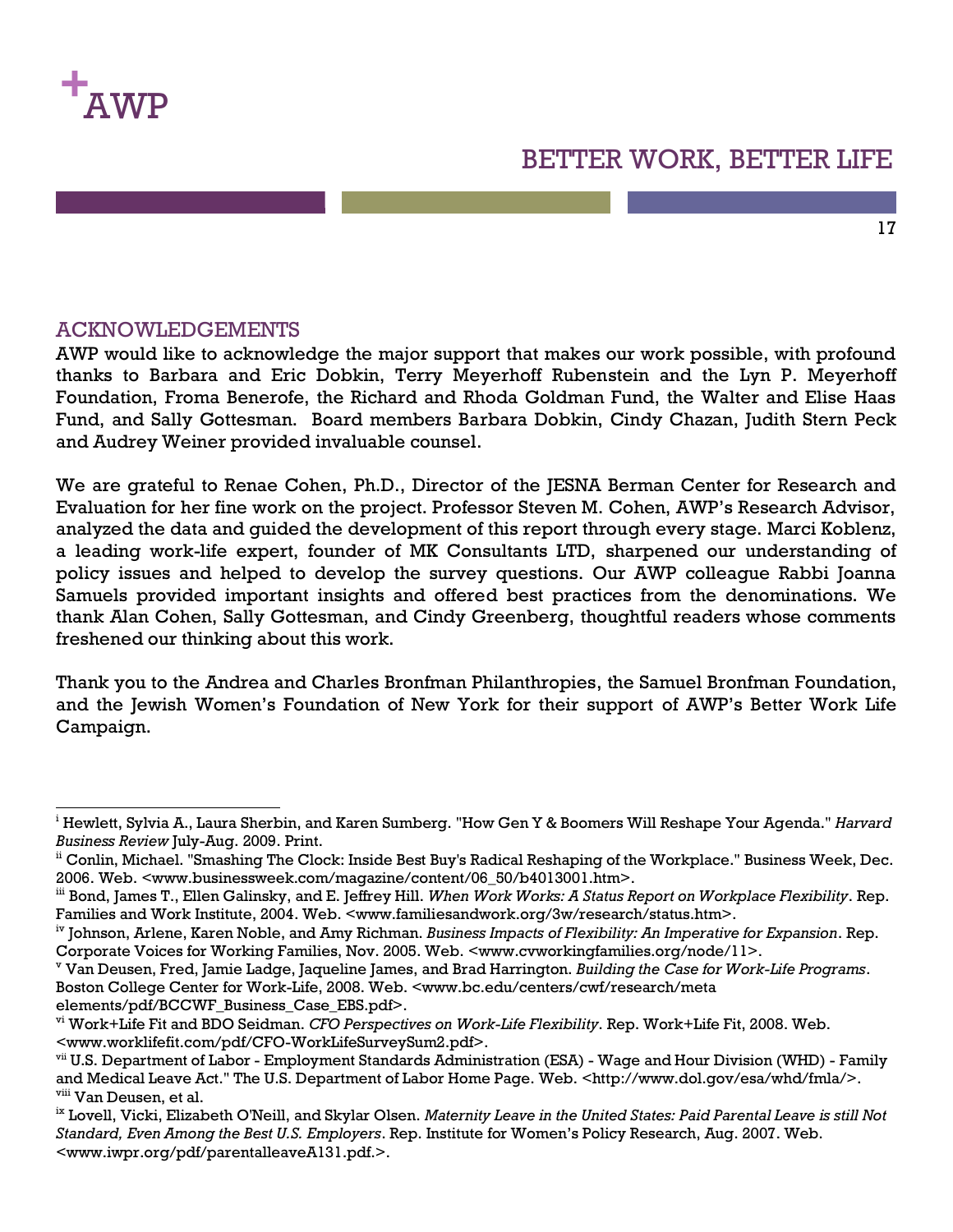

 $\overline{a}$ 

### BETTER WORK, BETTER LIFE

17

#### ACKNOWLEDGEMENTS

AWP would like to acknowledge the major support that makes our work possible, with profound thanks to Barbara and Eric Dobkin, Terry Meyerhoff Rubenstein and the Lyn P. Meyerhoff Foundation, Froma Benerofe, the Richard and Rhoda Goldman Fund, the Walter and Elise Haas Fund, and Sally Gottesman. Board members Barbara Dobkin, Cindy Chazan, Judith Stern Peck and Audrey Weiner provided invaluable counsel.

We are grateful to Renae Cohen, Ph.D., Director of the JESNA Berman Center for Research and Evaluation for her fine work on the project. Professor Steven M. Cohen, AWP's Research Advisor, analyzed the data and guided the development of this report through every stage. Marci Koblenz, a leading work-life expert, founder of MK Consultants LTD, sharpened our understanding of policy issues and helped to develop the survey questions. Our AWP colleague Rabbi Joanna Samuels provided important insights and offered best practices from the denominations. We thank Alan Cohen, Sally Gottesman, and Cindy Greenberg, thoughtful readers whose comments freshened our thinking about this work.

Thank you to the Andrea and Charles Bronfman Philanthropies, the Samuel Bronfman Foundation, and the Jewish Women's Foundation of New York for their support of AWP's Better Work Life Campaign.

<sup>i</sup> Hewlett, Sylvia A., Laura Sherbin, and Karen Sumberg. "How Gen Y & Boomers Will Reshape Your Agenda." *Harvard Business Review* July-Aug. 2009. Print.

ii Conlin, Michael. "Smashing The Clock: Inside Best Buy's Radical Reshaping of the Workplace." Business Week, Dec. 2006. Web. <www.businessweek.com/magazine/content/06\_50/b4013001.htm>.

iii Bond, James T., Ellen Galinsky, and E. Jeffrey Hill. *When Work Works: A Status Report on Workplace Flexibility*. Rep. Families and Work Institute, 2004. Web. <www.familiesandwork.org/3w/research/status.htm>.

iv Johnson, Arlene, Karen Noble, and Amy Richman. *Business Impacts of Flexibility: An Imperative for Expansion*. Rep. Corporate Voices for Working Families, Nov. 2005. Web. <www.cvworkingfamilies.org/node/11>.

<sup>v</sup> Van Deusen, Fred, Jamie Ladge, Jaqueline James, and Brad Harrington. *Building the Case for Work-Life Programs*. Boston College Center for Work-Life, 2008. Web. <www.bc.edu/centers/cwf/research/meta elements/pdf/BCCWF\_Business\_Case\_EBS.pdf>.

vi Work+Life Fit and BDO Seidman. *CFO Perspectives on Work-Life Flexibility*. Rep. Work+Life Fit, 2008. Web. <www.worklifefit.com/pdf/CFO-WorkLifeSurveySum2.pdf>.

vii U.S. Department of Labor - Employment Standards Administration (ESA) - Wage and Hour Division (WHD) - Family and Medical Leave Act." The U.S. Department of Labor Home Page. Web. <http://www.dol.gov/esa/whd/fmla/>. viii Van Deusen, et al.

ix Lovell, Vicki, Elizabeth O'Neill, and Skylar Olsen. *Maternity Leave in the United States: Paid Parental Leave is still Not Standard, Even Among the Best U.S. Employers*. Rep. Institute for Women's Policy Research, Aug. 2007. Web. <www.iwpr.org/pdf/parentalleaveA131.pdf.>.